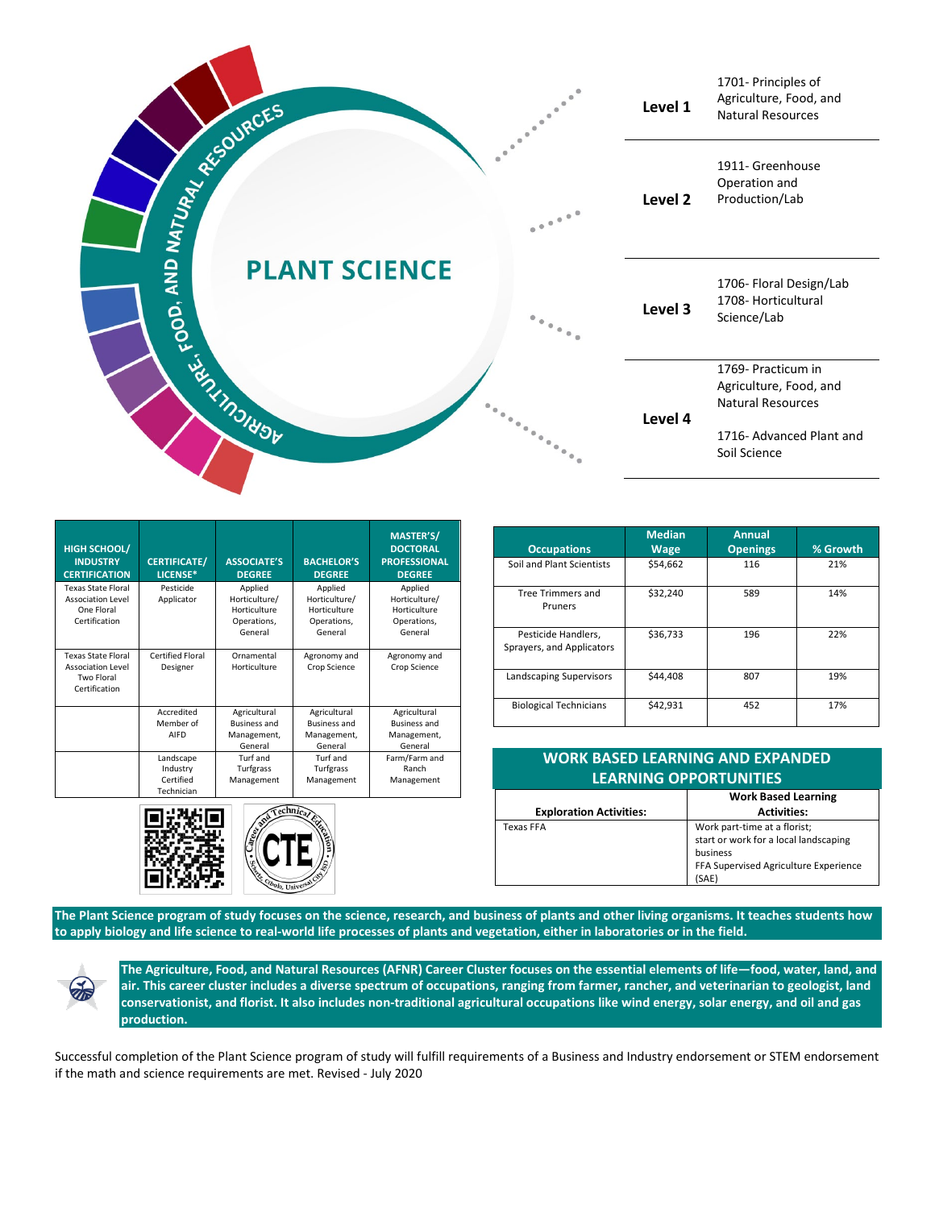

| <b>HIGH SCHOOL/</b><br><b>INDUSTRY</b><br><b>CERTIFICATION</b>                       | <b>CERTIFICATE/</b><br>LICENSE*                  | <b>ASSOCIATE'S</b><br><b>DEGREE</b>                                | <b>BACHELOR'S</b><br><b>DEGREE</b>                                 | <b>MASTER'S/</b><br><b>DOCTORAL</b><br><b>PROFESSIONAL</b><br><b>DEGREE</b> |
|--------------------------------------------------------------------------------------|--------------------------------------------------|--------------------------------------------------------------------|--------------------------------------------------------------------|-----------------------------------------------------------------------------|
| <b>Texas State Floral</b><br><b>Association Level</b><br>One Floral<br>Certification | Pesticide<br>Applicator                          | Applied<br>Horticulture/<br>Horticulture<br>Operations,<br>General | Applied<br>Horticulture/<br>Horticulture<br>Operations,<br>General | Applied<br>Horticulture/<br>Horticulture<br>Operations,<br>General          |
| <b>Texas State Eloral</b><br><b>Association Level</b><br>Two Floral<br>Certification | Certified Floral<br>Designer                     | Ornamental<br>Horticulture                                         | Agronomy and<br>Crop Science                                       | Agronomy and<br>Crop Science                                                |
|                                                                                      | Accredited<br>Member of<br>AIFD                  | Agricultural<br><b>Business and</b><br>Management,<br>General      | Agricultural<br><b>Business and</b><br>Management,<br>General      | Agricultural<br><b>Business and</b><br>Management,<br>General               |
|                                                                                      | Landscape<br>Industry<br>Certified<br>Technician | Turf and<br>Turfgrass<br>Management                                | Turf and<br>Turfgrass<br>Management                                | Farm/Farm and<br>Ranch<br>Management                                        |





| <b>Occupations</b>                               | <b>Median</b><br><b>Wage</b> | <b>Annual</b><br><b>Openings</b> | % Growth |
|--------------------------------------------------|------------------------------|----------------------------------|----------|
| Soil and Plant Scientists                        | \$54,662                     | 116                              | 21%      |
| <b>Tree Trimmers and</b><br>Pruners              | \$32,240                     | 589                              | 14%      |
| Pesticide Handlers,<br>Sprayers, and Applicators | \$36,733                     | 196                              | 22%      |
| Landscaping Supervisors                          | \$44,408                     | 807                              | 19%      |
| <b>Biological Technicians</b>                    | \$42,931                     | 452                              | 17%      |

| <b>WORK BASED LEARNING AND EXPANDED</b><br><b>LEARNING OPPORTUNITIES</b> |                                       |  |  |  |
|--------------------------------------------------------------------------|---------------------------------------|--|--|--|
|                                                                          | <b>Work Based Learning</b>            |  |  |  |
| <b>Exploration Activities:</b>                                           | <b>Activities:</b>                    |  |  |  |
| <b>Texas FFA</b>                                                         | Work part-time at a florist;          |  |  |  |
|                                                                          | start or work for a local landscaping |  |  |  |
|                                                                          | business                              |  |  |  |
|                                                                          | FFA Supervised Agriculture Experience |  |  |  |
|                                                                          | (SAE)                                 |  |  |  |

**The Plant Science program of study focuses on the science, research, and business of plants and other living organisms. It teaches students how to apply biology and life science to real-world life processes of plants and vegetation, either in laboratories or in the field.**

**The Agriculture, Food, and Natural Resources (AFNR) Career Cluster focuses on the essential elements of life—food, water, land, and air. This career cluster includes a diverse spectrum of occupations, ranging from farmer, rancher, and veterinarian to geologist, land conservationist, and florist. It also includes non-traditional agricultural occupations like wind energy, solar energy, and oil and gas production.**

Successful completion of the Plant Science program of study will fulfill requirements of a Business and Industry endorsement or STEM endorsement if the math and science requirements are met. Revised - July 2020